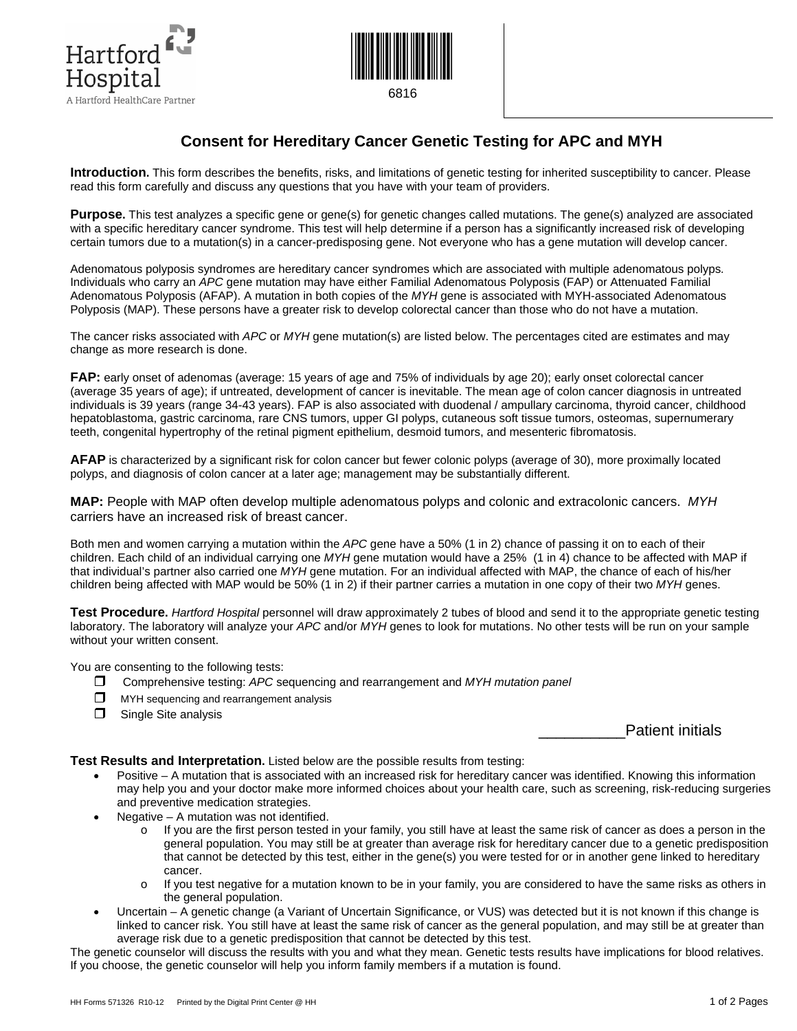



## **Consent for Hereditary Cancer Genetic Testing for APC and MYH**

**Introduction.** This form describes the benefits, risks, and limitations of genetic testing for inherited susceptibility to cancer. Please read this form carefully and discuss any questions that you have with your team of providers.

**Purpose.** This test analyzes a specific gene or gene(s) for genetic changes called mutations. The gene(s) analyzed are associated with a specific hereditary cancer syndrome. This test will help determine if a person has a significantly increased risk of developing certain tumors due to a mutation(s) in a cancer-predisposing gene. Not everyone who has a gene mutation will develop cancer.

Adenomatous polyposis syndromes are hereditary cancer syndromes which are associated with multiple adenomatous polyps*.*  Individuals who carry an *APC* gene mutation may have either Familial Adenomatous Polyposis (FAP) or Attenuated Familial Adenomatous Polyposis (AFAP). A mutation in both copies of the *MYH* gene is associated with MYH-associated Adenomatous Polyposis (MAP). These persons have a greater risk to develop colorectal cancer than those who do not have a mutation.

The cancer risks associated with *APC* or *MYH* gene mutation(s) are listed below. The percentages cited are estimates and may change as more research is done.

**FAP:** early onset of adenomas (average: 15 years of age and 75% of individuals by age 20); early onset colorectal cancer (average 35 years of age); if untreated, development of cancer is inevitable. The mean age of colon cancer diagnosis in untreated individuals is 39 years (range 34-43 years). FAP is also associated with duodenal / ampullary carcinoma, thyroid cancer, childhood hepatoblastoma, gastric carcinoma, rare CNS tumors, upper GI polyps, cutaneous soft tissue tumors, osteomas, supernumerary teeth, congenital hypertrophy of the retinal pigment epithelium, desmoid tumors, and mesenteric fibromatosis.

**AFAP** is characterized by a significant risk for colon cancer but fewer colonic polyps (average of 30), more proximally located polyps, and diagnosis of colon cancer at a later age; management may be substantially different.

**MAP:** People with MAP often develop multiple adenomatous polyps and colonic and extracolonic cancers. *MYH* carriers have an increased risk of breast cancer.

Both men and women carrying a mutation within the *APC* gene have a 50% (1 in 2) chance of passing it on to each of their children. Each child of an individual carrying one *MYH* gene mutation would have a 25% (1 in 4) chance to be affected with MAP if that individual's partner also carried one *MYH* gene mutation. For an individual affected with MAP, the chance of each of his/her children being affected with MAP would be 50% (1 in 2) if their partner carries a mutation in one copy of their two *MYH* genes.

**Test Procedure.** *Hartford Hospital* personnel will draw approximately 2 tubes of blood and send it to the appropriate genetic testing laboratory. The laboratory will analyze your *APC* and/or *MYH* genes to look for mutations. No other tests will be run on your sample without your written consent.

You are consenting to the following tests:

- Comprehensive testing: *APC* sequencing and rearrangement and *MYH mutation panel*
- $\Box$  MYH sequencing and rearrangement analysis
- $\Box$  Single Site analysis

**Patient initials** 

**Test Results and Interpretation.** Listed below are the possible results from testing:

- Positive A mutation that is associated with an increased risk for hereditary cancer was identified. Knowing this information may help you and your doctor make more informed choices about your health care, such as screening, risk-reducing surgeries and preventive medication strategies.
- Negative  $-$  A mutation was not identified.
	- If you are the first person tested in your family, you still have at least the same risk of cancer as does a person in the general population. You may still be at greater than average risk for hereditary cancer due to a genetic predisposition that cannot be detected by this test, either in the gene(s) you were tested for or in another gene linked to hereditary cancer.
	- o If you test negative for a mutation known to be in your family, you are considered to have the same risks as others in the general population.
- Uncertain A genetic change (a Variant of Uncertain Significance, or VUS) was detected but it is not known if this change is linked to cancer risk. You still have at least the same risk of cancer as the general population, and may still be at greater than average risk due to a genetic predisposition that cannot be detected by this test.

The genetic counselor will discuss the results with you and what they mean. Genetic tests results have implications for blood relatives. If you choose, the genetic counselor will help you inform family members if a mutation is found.